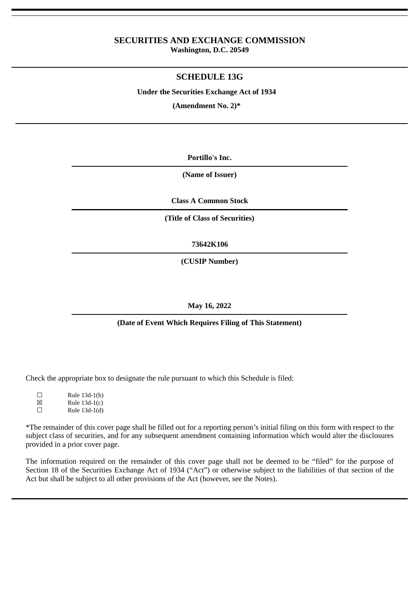# **SECURITIES AND EXCHANGE COMMISSION**

**Washington, D.C. 20549**

## **SCHEDULE 13G**

**Under the Securities Exchange Act of 1934**

**(Amendment No. 2)\***

**Portillo's Inc.**

**(Name of Issuer)**

**Class A Common Stock**

**(Title of Class of Securities)**

**73642K106**

**(CUSIP Number)**

## **May 16, 2022**

## **(Date of Event Which Requires Filing of This Statement)**

Check the appropriate box to designate the rule pursuant to which this Schedule is filed:

| П | Rule 13d-1(b)   |
|---|-----------------|
| ⊠ | Rule $13d-1(c)$ |
| П | Rule 13d-1(d)   |

\*The remainder of this cover page shall be filled out for a reporting person's initial filing on this form with respect to the subject class of securities, and for any subsequent amendment containing information which would alter the disclosures provided in a prior cover page.

The information required on the remainder of this cover page shall not be deemed to be "filed" for the purpose of Section 18 of the Securities Exchange Act of 1934 ("Act") or otherwise subject to the liabilities of that section of the Act but shall be subject to all other provisions of the Act (however, see the Notes).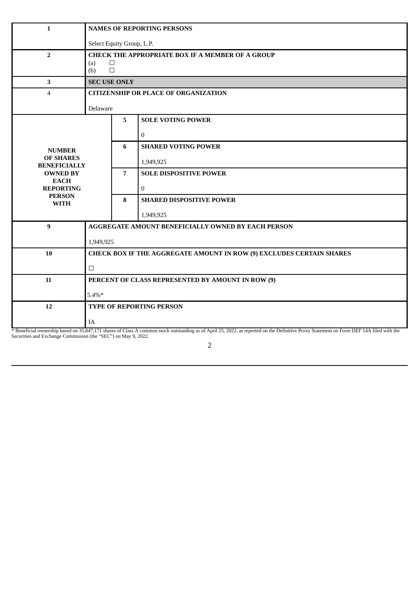| 1                                                              | <b>NAMES OF REPORTING PERSONS</b>                                    |                |                                                                                                                                                                                          |  |
|----------------------------------------------------------------|----------------------------------------------------------------------|----------------|------------------------------------------------------------------------------------------------------------------------------------------------------------------------------------------|--|
|                                                                | Select Equity Group, L.P.                                            |                |                                                                                                                                                                                          |  |
| $\overline{2}$                                                 | <b>CHECK THE APPROPRIATE BOX IF A MEMBER OF A GROUP</b>              |                |                                                                                                                                                                                          |  |
|                                                                | $\Box$<br>(a)<br>$\Box$<br>(b)                                       |                |                                                                                                                                                                                          |  |
| 3                                                              | <b>SEC USE ONLY</b>                                                  |                |                                                                                                                                                                                          |  |
| $\overline{4}$                                                 | <b>CITIZENSHIP OR PLACE OF ORGANIZATION</b>                          |                |                                                                                                                                                                                          |  |
|                                                                | Delaware                                                             |                |                                                                                                                                                                                          |  |
|                                                                |                                                                      | 5              |                                                                                                                                                                                          |  |
|                                                                |                                                                      |                | <b>SOLE VOTING POWER</b>                                                                                                                                                                 |  |
|                                                                |                                                                      |                | $\overline{0}$                                                                                                                                                                           |  |
| <b>NUMBER</b>                                                  |                                                                      | 6              | <b>SHARED VOTING POWER</b>                                                                                                                                                               |  |
| <b>OF SHARES</b><br><b>BENEFICIALLY</b>                        |                                                                      |                | 1,949,925                                                                                                                                                                                |  |
| <b>OWNED BY</b>                                                |                                                                      | $\overline{7}$ | <b>SOLE DISPOSITIVE POWER</b>                                                                                                                                                            |  |
| <b>EACH</b><br><b>REPORTING</b>                                |                                                                      |                | $\overline{0}$                                                                                                                                                                           |  |
| <b>PERSON</b><br><b>WITH</b>                                   |                                                                      | 8              | <b>SHARED DISPOSITIVE POWER</b>                                                                                                                                                          |  |
|                                                                |                                                                      |                | 1,949,925                                                                                                                                                                                |  |
| $\boldsymbol{9}$                                               |                                                                      |                | AGGREGATE AMOUNT BENEFICIALLY OWNED BY EACH PERSON                                                                                                                                       |  |
|                                                                |                                                                      |                |                                                                                                                                                                                          |  |
|                                                                | 1,949,925                                                            |                |                                                                                                                                                                                          |  |
| 10                                                             | CHECK BOX IF THE AGGREGATE AMOUNT IN ROW (9) EXCLUDES CERTAIN SHARES |                |                                                                                                                                                                                          |  |
|                                                                | $\Box$                                                               |                |                                                                                                                                                                                          |  |
| 11                                                             |                                                                      |                | PERCENT OF CLASS REPRESENTED BY AMOUNT IN ROW (9)                                                                                                                                        |  |
|                                                                | $5.4\%*$                                                             |                |                                                                                                                                                                                          |  |
| 12                                                             |                                                                      |                | <b>TYPE OF REPORTING PERSON</b>                                                                                                                                                          |  |
|                                                                |                                                                      |                |                                                                                                                                                                                          |  |
|                                                                | <b>IA</b>                                                            |                | * Beneficial ownership based on 35,847,171 shares of Class A common stock outstanding as of April 25, 2022, as reported on the Definitive Proxy Statement on Form DEF 14A filed with the |  |
| Securities and Exchange Commission (the "SEC") on May 9, 2022. |                                                                      |                |                                                                                                                                                                                          |  |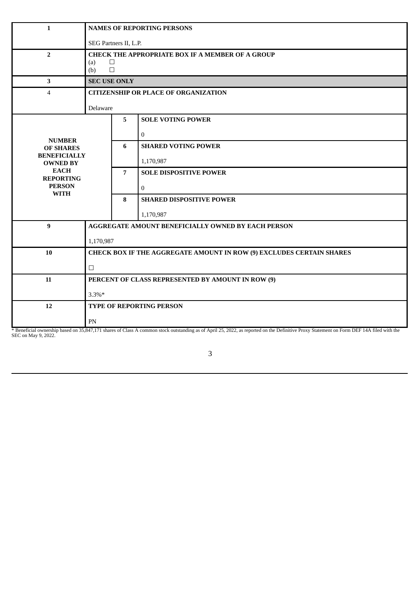| $\mathbf{1}$                                                                                                                                   |                                                                                           | <b>NAMES OF REPORTING PERSONS</b> |                                                                                                                                                         |  |  |
|------------------------------------------------------------------------------------------------------------------------------------------------|-------------------------------------------------------------------------------------------|-----------------------------------|---------------------------------------------------------------------------------------------------------------------------------------------------------|--|--|
|                                                                                                                                                | SEG Partners II, L.P.                                                                     |                                   |                                                                                                                                                         |  |  |
| $\overline{2}$                                                                                                                                 | <b>CHECK THE APPROPRIATE BOX IF A MEMBER OF A GROUP</b><br>$\Box$<br>(a)<br>$\Box$<br>(b) |                                   |                                                                                                                                                         |  |  |
| 3                                                                                                                                              |                                                                                           | <b>SEC USE ONLY</b>               |                                                                                                                                                         |  |  |
| $\overline{4}$                                                                                                                                 | <b>CITIZENSHIP OR PLACE OF ORGANIZATION</b>                                               |                                   |                                                                                                                                                         |  |  |
|                                                                                                                                                | Delaware                                                                                  |                                   |                                                                                                                                                         |  |  |
|                                                                                                                                                |                                                                                           | $5\phantom{.}$                    | <b>SOLE VOTING POWER</b>                                                                                                                                |  |  |
| <b>NUMBER</b><br><b>OF SHARES</b><br><b>BENEFICIALLY</b><br><b>OWNED BY</b><br><b>EACH</b><br><b>REPORTING</b><br><b>PERSON</b><br><b>WITH</b> |                                                                                           |                                   | $\overline{0}$                                                                                                                                          |  |  |
|                                                                                                                                                |                                                                                           | 6                                 | <b>SHARED VOTING POWER</b>                                                                                                                              |  |  |
|                                                                                                                                                |                                                                                           |                                   | 1,170,987                                                                                                                                               |  |  |
|                                                                                                                                                |                                                                                           | $\overline{7}$                    | <b>SOLE DISPOSITIVE POWER</b>                                                                                                                           |  |  |
|                                                                                                                                                |                                                                                           |                                   | $\bf{0}$                                                                                                                                                |  |  |
|                                                                                                                                                |                                                                                           | 8                                 | <b>SHARED DISPOSITIVE POWER</b>                                                                                                                         |  |  |
|                                                                                                                                                |                                                                                           |                                   | 1,170,987                                                                                                                                               |  |  |
| 9                                                                                                                                              |                                                                                           |                                   | <b>AGGREGATE AMOUNT BENEFICIALLY OWNED BY EACH PERSON</b>                                                                                               |  |  |
|                                                                                                                                                | 1,170,987                                                                                 |                                   |                                                                                                                                                         |  |  |
| 10                                                                                                                                             |                                                                                           |                                   | CHECK BOX IF THE AGGREGATE AMOUNT IN ROW (9) EXCLUDES CERTAIN SHARES                                                                                    |  |  |
|                                                                                                                                                | $\Box$                                                                                    |                                   |                                                                                                                                                         |  |  |
| 11                                                                                                                                             |                                                                                           |                                   | PERCENT OF CLASS REPRESENTED BY AMOUNT IN ROW (9)                                                                                                       |  |  |
|                                                                                                                                                | $3.3\%*$                                                                                  |                                   |                                                                                                                                                         |  |  |
| 12                                                                                                                                             |                                                                                           |                                   | TYPE OF REPORTING PERSON                                                                                                                                |  |  |
|                                                                                                                                                |                                                                                           |                                   |                                                                                                                                                         |  |  |
|                                                                                                                                                | ${\rm PN}$                                                                                |                                   | 0.47.171 shaves of Class A common steely outstanding as of April 35, 2002, as veneuted on the Definitive Drows Statement on Form DEE 14A filed with the |  |  |

\* Beneficial ownership based on 35,847,171 shares of Class A common stock outstanding as of April 25, 2022, as reported on the Definitive Proxy Statement on Form DEF 14A filed with the SEC on May 9, 2022.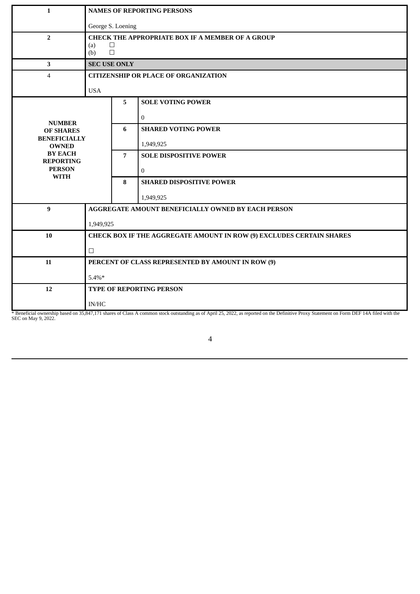| $\mathbf{1}$                        | <b>NAMES OF REPORTING PERSONS</b>           |                                                         |                                                                                                                                                                                          |  |  |  |
|-------------------------------------|---------------------------------------------|---------------------------------------------------------|------------------------------------------------------------------------------------------------------------------------------------------------------------------------------------------|--|--|--|
|                                     | George S. Loening                           |                                                         |                                                                                                                                                                                          |  |  |  |
| $\overline{2}$                      |                                             | <b>CHECK THE APPROPRIATE BOX IF A MEMBER OF A GROUP</b> |                                                                                                                                                                                          |  |  |  |
|                                     | (b)                                         | $\Box$<br>(a)<br>$\Box$                                 |                                                                                                                                                                                          |  |  |  |
| 3                                   |                                             | <b>SEC USE ONLY</b>                                     |                                                                                                                                                                                          |  |  |  |
| $\overline{4}$                      | <b>CITIZENSHIP OR PLACE OF ORGANIZATION</b> |                                                         |                                                                                                                                                                                          |  |  |  |
|                                     | <b>USA</b>                                  |                                                         |                                                                                                                                                                                          |  |  |  |
|                                     |                                             | 5                                                       | <b>SOLE VOTING POWER</b>                                                                                                                                                                 |  |  |  |
|                                     |                                             |                                                         | $\overline{0}$                                                                                                                                                                           |  |  |  |
| <b>NUMBER</b><br><b>OF SHARES</b>   |                                             | 6                                                       | <b>SHARED VOTING POWER</b>                                                                                                                                                               |  |  |  |
| <b>BENEFICIALLY</b><br><b>OWNED</b> |                                             |                                                         | 1,949,925                                                                                                                                                                                |  |  |  |
| <b>BY EACH</b><br><b>REPORTING</b>  |                                             | $\overline{7}$                                          | <b>SOLE DISPOSITIVE POWER</b>                                                                                                                                                            |  |  |  |
| <b>PERSON</b>                       |                                             |                                                         | $\mathbf 0$                                                                                                                                                                              |  |  |  |
| <b>WITH</b>                         |                                             | 8                                                       | <b>SHARED DISPOSITIVE POWER</b>                                                                                                                                                          |  |  |  |
|                                     |                                             |                                                         | 1,949,925                                                                                                                                                                                |  |  |  |
| 9                                   |                                             |                                                         | AGGREGATE AMOUNT BENEFICIALLY OWNED BY EACH PERSON                                                                                                                                       |  |  |  |
|                                     | 1,949,925                                   |                                                         |                                                                                                                                                                                          |  |  |  |
| 10                                  |                                             |                                                         | CHECK BOX IF THE AGGREGATE AMOUNT IN ROW (9) EXCLUDES CERTAIN SHARES                                                                                                                     |  |  |  |
|                                     | $\Box$                                      |                                                         |                                                                                                                                                                                          |  |  |  |
| 11                                  |                                             |                                                         | PERCENT OF CLASS REPRESENTED BY AMOUNT IN ROW (9)                                                                                                                                        |  |  |  |
|                                     | $5.4\%*$                                    |                                                         |                                                                                                                                                                                          |  |  |  |
| 12                                  |                                             |                                                         | TYPE OF REPORTING PERSON                                                                                                                                                                 |  |  |  |
|                                     | <b>IN/HC</b>                                |                                                         |                                                                                                                                                                                          |  |  |  |
|                                     |                                             |                                                         | * Beneficial ownership based on 35,847,171 shares of Class A common stock outstanding as of April 25, 2022, as reported on the Definitive Proxy Statement on Form DEF 14A filed with the |  |  |  |

SEC on May 9, 2022.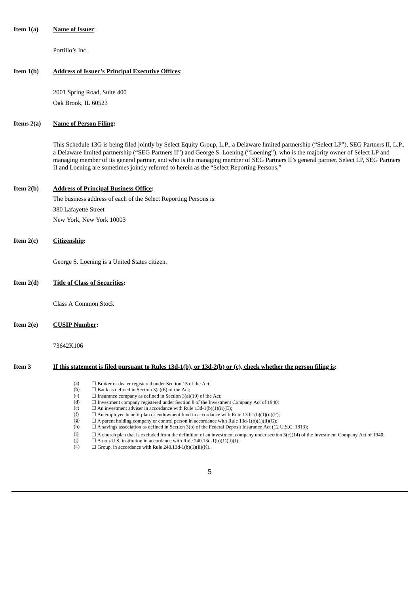#### **Item 1(a) Name of Issuer**:

Portillo's Inc.

#### **Item 1(b) Address of Issuer's Principal Executive Offices**:

2001 Spring Road, Suite 400 Oak Brook, IL 60523

#### **Items 2(a) Name of Person Filing:**

This Schedule 13G is being filed jointly by Select Equity Group, L.P., a Delaware limited partnership ("Select LP"), SEG Partners II, L.P., a Delaware limited partnership ("SEG Partners II") and George S. Loening ("Loening"), who is the majority owner of Select LP and managing member of its general partner, and who is the managing member of SEG Partners II's general partner. Select LP, SEG Partners II and Loening are sometimes jointly referred to herein as the "Select Reporting Persons."

#### **Item 2(b) Address of Principal Business Office:**

The business address of each of the Select Reporting Persons is: 380 Lafayette Street New York, New York 10003

#### **Item 2(c) Citizenship:**

George S. Loening is a United States citizen.

#### **Item 2(d) Title of Class of Securities:**

Class A Common Stock

**Item 2(e) CUSIP Number:**

73642K106

#### Item 3 If this statement is filed pursuant to Rules 13d-1(b), or 13d-2(b) or (c), check whether the person filing is:

| (a)<br>$\Box$ Broker or dealer registered under Section 15 of the Act; |  |
|------------------------------------------------------------------------|--|
|------------------------------------------------------------------------|--|

- (b)  $\Box$  Bank as defined in Section 3(a)(6) of the Act;<br>(c)  $\Box$  Insurance company as defined in Section 3(a)
- (c)  $\Box$  Insurance company as defined in Section 3(a)(19) of the Act;<br>(d)  $\Box$  Investment company registered under Section 8 of the Investr
- $\Box$  Investment company registered under Section 8 of the Investment Company Act of 1940;
- (e)  $\Box$  An investment adviser in accordance with Rule 13d-1(b)(1)(ii)(E);<br>(f)  $\Box$  An employee benefit plan or endowment fund in accordance with F
- $\Box$  An employee benefit plan or endowment fund in accordance with Rule 13d-1(b)(1)(ii)(F);
- (g)  $\Box$  A parent holding company or control person in accordance with Rule 13d-1(b)(1)(ii)(G);
- (h) ☐ A savings association as defined in Section 3(b) of the Federal Deposit Insurance Act (12 U.S.C. 1813);
- (i)  $□ A$  church plan that is excluded from the definition of an investment company under section 3(c)(14) of the Investment Company Act of 1940;
- (j)  $\Box$  A non-U.S. institution in accordance with Rule 240.13d-1(b)(1)(ii)(J);
- (k)  $\Box$  Group, in accordance with Rule 240.13d-1(b)(1)(ii)(K).
	- 5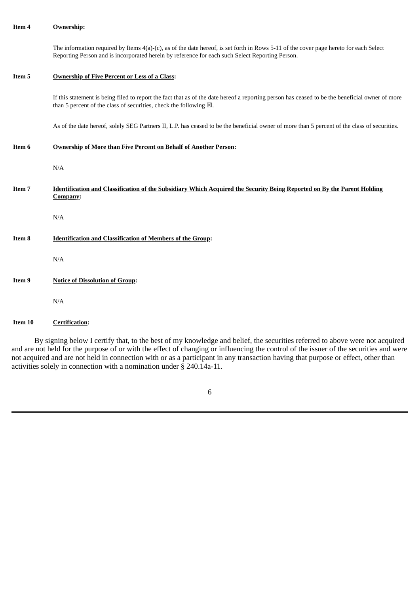The information required by Items 4(a)-(c), as of the date hereof, is set forth in Rows 5-11 of the cover page hereto for each Select Reporting Person and is incorporated herein by reference for each such Select Reporting Person.

#### **Item 5 Ownership of Five Percent or Less of a Class:**

If this statement is being filed to report the fact that as of the date hereof a reporting person has ceased to be the beneficial owner of more than 5 percent of the class of securities, check the following  $\boxtimes$ .

As of the date hereof, solely SEG Partners II, L.P. has ceased to be the beneficial owner of more than 5 percent of the class of securities.

**Item 6 Ownership of More than Five Percent on Behalf of Another Person:**

N/A

Item 7 **Identification and Classification of the Subsidiary Which Acquired the Security Being Reported on By the Parent Holding Company:**

N/A

**Item 8 Identification and Classification of Members of the Group:**

N/A

**Item 9 Notice of Dissolution of Group:**

N/A

**Item 10 Certification:**

By signing below I certify that, to the best of my knowledge and belief, the securities referred to above were not acquired and are not held for the purpose of or with the effect of changing or influencing the control of the issuer of the securities and were not acquired and are not held in connection with or as a participant in any transaction having that purpose or effect, other than activities solely in connection with a nomination under § 240.14a-11.